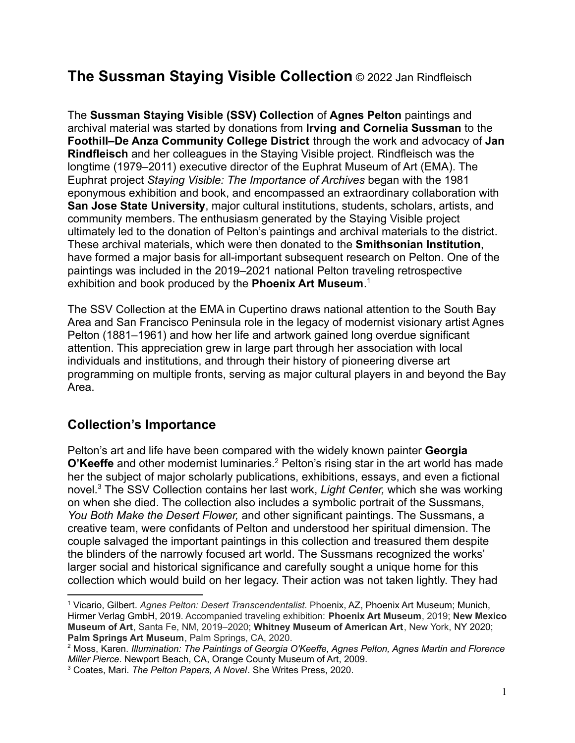# **The Sussman Staying Visible Collection** © 2022 Jan Rindfleisch

The **Sussman Staying Visible (SSV) Collection** of **Agnes Pelton** paintings and archival material was started by donations from **Irving and Cornelia Sussman** to the **Foothill–De Anza Community College District** through the work and advocacy of **Jan Rindfleisch** and her colleagues in the Staying Visible project. Rindfleisch was the longtime (1979–2011) executive director of the Euphrat Museum of Art (EMA). The Euphrat project *Staying Visible: The Importance of Archives* began with the 1981 eponymous exhibition and book, and encompassed an extraordinary collaboration with **San Jose State University**, major cultural institutions, students, scholars, artists, and community members. The enthusiasm generated by the Staying Visible project ultimately led to the donation of Pelton's paintings and archival materials to the district. These archival materials, which were then donated to the **Smithsonian Institution**, have formed a major basis for all-important subsequent research on Pelton. One of the paintings was included in the 2019–2021 national Pelton traveling retrospective exhibition and book produced by the **Phoenix Art Museum**. 1

The SSV Collection at the EMA in Cupertino draws national attention to the South Bay Area and San Francisco Peninsula role in the legacy of modernist visionary artist Agnes Pelton (1881–1961) and how her life and artwork gained long overdue significant attention. This appreciation grew in large part through her association with local individuals and institutions, and through their history of pioneering diverse art programming on multiple fronts, serving as major cultural players in and beyond the Bay Area.

### **Collection's Importance**

Pelton's art and life have been compared with the widely known painter **Georgia O'Keeffe** and other modernist luminaries.<sup>2</sup> Pelton's rising star in the art world has made her the subject of major scholarly publications, exhibitions, essays, and even a fictional novel.<sup>3</sup> The SSV Collection contains her last work, *Light Center,* which she was working on when she died. The collection also includes a symbolic portrait of the Sussmans, *You Both Make the Desert Flower,* and other significant paintings. The Sussmans, a creative team, were confidants of Pelton and understood her spiritual dimension. The couple salvaged the important paintings in this collection and treasured them despite the blinders of the narrowly focused art world. The Sussmans recognized the works' larger social and historical significance and carefully sought a unique home for this collection which would build on her legacy. Their action was not taken lightly. They had

<sup>1</sup> Vicario, Gilbert. *Agnes Pelton: Desert Transcendentalist*. Phoenix, AZ, Phoenix Art Museum; Munich, Hirmer Verlag GmbH, 2019. Accompanied traveling exhibition: **Phoenix Art Museum**, 2019; **New Mexico Museum of Art**, Santa Fe, NM, 2019–2020; **Whitney Museum of American Art**, New York, NY 2020; **Palm Springs Art Museum**, Palm Springs, CA, 2020.

<sup>2</sup> Moss, Karen. *Illumination: The Paintings of Georgia O'Keeffe, Agnes Pelton, Agnes Martin and Florence Miller Pierce*. Newport Beach, CA, Orange County Museum of Art, 2009.

<sup>3</sup> Coates, Mari. *The Pelton Papers, A Novel*. She Writes Press, 2020.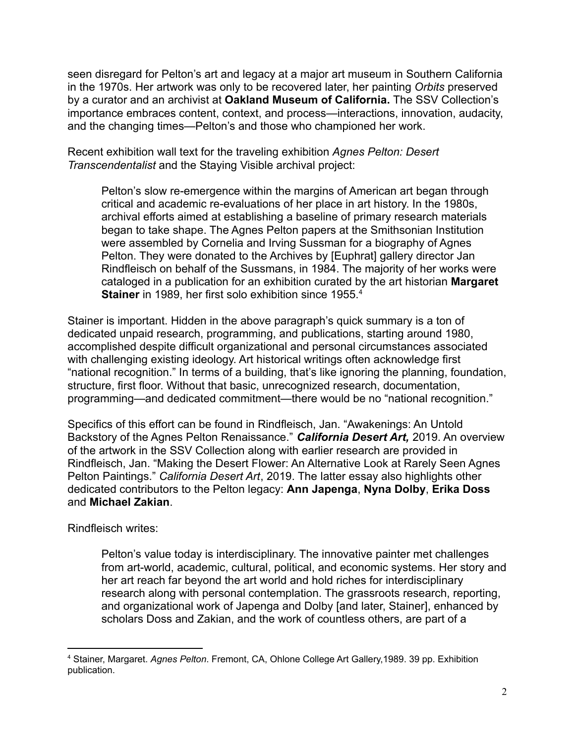seen disregard for Pelton's art and legacy at a major art museum in Southern California in the 1970s. Her artwork was only to be recovered later, her painting *Orbits* preserved by a curator and an archivist at **Oakland Museum of California.** The SSV Collection's importance embraces content, context, and process—interactions, innovation, audacity, and the changing times—Pelton's and those who championed her work.

Recent exhibition wall text for the traveling exhibition *Agnes Pelton: Desert Transcendentalist* and the Staying Visible archival project:

Pelton's slow re-emergence within the margins of American art began through critical and academic re-evaluations of her place in art history. In the 1980s, archival efforts aimed at establishing a baseline of primary research materials began to take shape. The Agnes Pelton papers at the Smithsonian Institution were assembled by Cornelia and Irving Sussman for a biography of Agnes Pelton. They were donated to the Archives by [Euphrat] gallery director Jan Rindfleisch on behalf of the Sussmans, in 1984. The majority of her works were cataloged in a publication for an exhibition curated by the art historian **Margaret Stainer** in 1989, her first solo exhibition since 1955.<sup>4</sup>

Stainer is important. Hidden in the above paragraph's quick summary is a ton of dedicated unpaid research, programming, and publications, starting around 1980, accomplished despite difficult organizational and personal circumstances associated with challenging existing ideology. Art historical writings often acknowledge first "national recognition." In terms of a building, that's like ignoring the planning, foundation, structure, first floor. Without that basic, unrecognized research, documentation, programming—and dedicated commitment—there would be no "national recognition."

Specifics of this effort can be found in Rindfleisch, Jan. "Awakenings: An Untold Backstory of the Agnes Pelton Renaissance." *California Desert Art,* 2019. An overview of the artwork in the SSV Collection along with earlier research are provided in Rindfleisch, Jan. "Making the Desert Flower: An Alternative Look at Rarely Seen Agnes Pelton Paintings." *California Desert Art*, 2019. The latter essay also highlights other dedicated contributors to the Pelton legacy: **Ann Japenga**, **Nyna Dolby**, **Erika Doss** and **Michael Zakian**.

Rindfleisch writes:

Pelton's value today is interdisciplinary. The innovative painter met challenges from art-world, academic, cultural, political, and economic systems. Her story and her art reach far beyond the art world and hold riches for interdisciplinary research along with personal contemplation. The grassroots research, reporting, and organizational work of Japenga and Dolby [and later, Stainer], enhanced by scholars Doss and Zakian, and the work of countless others, are part of a

<sup>4</sup> Stainer, Margaret. *Agnes Pelton*. Fremont, CA, Ohlone College Art Gallery,1989. 39 pp. Exhibition publication.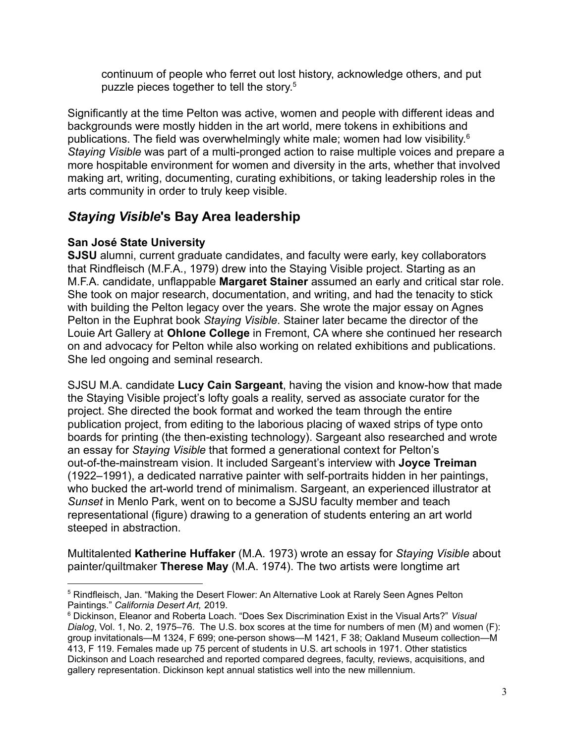continuum of people who ferret out lost history, acknowledge others, and put puzzle pieces together to tell the story. 5

Significantly at the time Pelton was active, women and people with different ideas and backgrounds were mostly hidden in the art world, mere tokens in exhibitions and publications. The field was overwhelmingly white male; women had low visibility.<sup>6</sup> *Staying Visible* was part of a multi-pronged action to raise multiple voices and prepare a more hospitable environment for women and diversity in the arts, whether that involved making art, writing, documenting, curating exhibitions, or taking leadership roles in the arts community in order to truly keep visible.

### *Staying Visible***'s Bay Area leadership**

### **San José State University**

**SJSU** alumni, current graduate candidates, and faculty were early, key collaborators that Rindfleisch (M.F.A., 1979) drew into the Staying Visible project. Starting as an M.F.A. candidate, unflappable **Margaret Stainer** assumed an early and critical star role. She took on major research, documentation, and writing, and had the tenacity to stick with building the Pelton legacy over the years. She wrote the major essay on Agnes Pelton in the Euphrat book *Staying Visible*. Stainer later became the director of the Louie Art Gallery at **Ohlone College** in Fremont, CA where she continued her research on and advocacy for Pelton while also working on related exhibitions and publications. She led ongoing and seminal research.

SJSU M.A. candidate **Lucy Cain Sargeant**, having the vision and know-how that made the Staying Visible project's lofty goals a reality, served as associate curator for the project. She directed the book format and worked the team through the entire publication project, from editing to the laborious placing of waxed strips of type onto boards for printing (the then-existing technology). Sargeant also researched and wrote an essay for *Staying Visible* that formed a generational context for Pelton's out-of-the-mainstream vision. It included Sargeant's interview with **Joyce Treiman** (1922–1991), a dedicated narrative painter with self-portraits hidden in her paintings, who bucked the art-world trend of minimalism. Sargeant, an experienced illustrator at *Sunset* in Menlo Park, went on to become a SJSU faculty member and teach representational (figure) drawing to a generation of students entering an art world steeped in abstraction.

Multitalented **Katherine Huffaker** (M.A. 1973) wrote an essay for *Staying Visible* about painter/quiltmaker **Therese May** (M.A. 1974). The two artists were longtime art

<sup>5</sup> Rindfleisch, Jan. "Making the Desert Flower: An Alternative Look at Rarely Seen Agnes Pelton Paintings." *California Desert Art,* 2019.

<sup>6</sup> Dickinson, Eleanor and Roberta Loach. "Does Sex Discrimination Exist in the Visual Arts?" *Visual Dialog*, Vol. 1, No. 2, 1975–76. The U.S. box scores at the time for numbers of men (M) and women (F): group invitationals—M 1324, F 699; one-person shows—M 1421, F 38; Oakland Museum collection—M 413, F 119. Females made up 75 percent of students in U.S. art schools in 1971. Other statistics Dickinson and Loach researched and reported compared degrees, faculty, reviews, acquisitions, and gallery representation. Dickinson kept annual statistics well into the new millennium.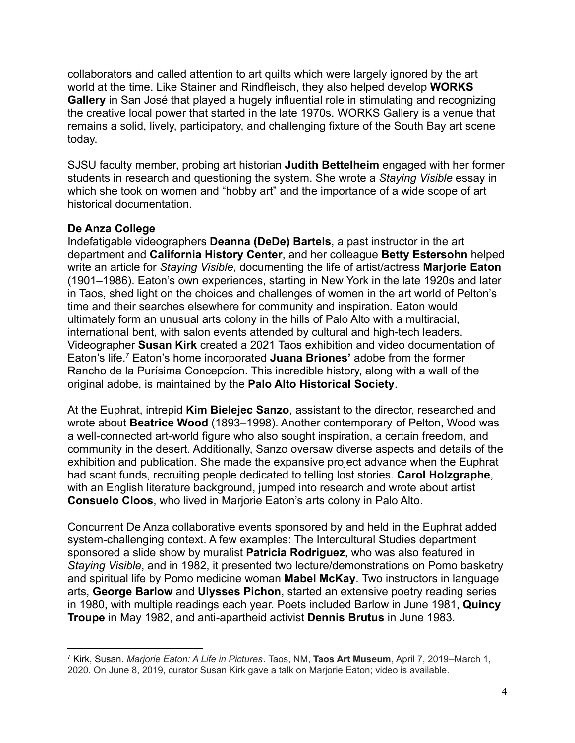collaborators and called attention to art quilts which were largely ignored by the art world at the time. Like Stainer and Rindfleisch, they also helped develop **WORKS Gallery** in San José that played a hugely influential role in stimulating and recognizing the creative local power that started in the late 1970s. WORKS Gallery is a venue that remains a solid, lively, participatory, and challenging fixture of the South Bay art scene today.

SJSU faculty member, probing art historian **Judith Bettelheim** engaged with her former students in research and questioning the system. She wrote a *Staying Visible* essay in which she took on women and "hobby art" and the importance of a wide scope of art historical documentation.

#### **De Anza College**

Indefatigable videographers **Deanna (DeDe) Bartels**, a past instructor in the art department and **California History Center**, and her colleague **Betty Estersohn** helped write an article for *Staying Visible*, documenting the life of artist/actress **Marjorie Eaton** (1901–1986). Eaton's own experiences, starting in New York in the late 1920s and later in Taos, shed light on the choices and challenges of women in the art world of Pelton's time and their searches elsewhere for community and inspiration. Eaton would ultimately form an unusual arts colony in the hills of Palo Alto with a multiracial, international bent, with salon events attended by cultural and high-tech leaders. Videographer **Susan Kirk** created a 2021 Taos exhibition and video documentation of Eaton's life.<sup>7</sup> Eaton's home incorporated **Juana Briones'** adobe from the former Rancho de la Purísima Concepcíon. This incredible history, along with a wall of the original adobe, is maintained by the **Palo Alto Historical Society**.

At the Euphrat, intrepid **Kim Bielejec Sanzo**, assistant to the director, researched and wrote about **Beatrice Wood** (1893–1998). Another contemporary of Pelton, Wood was a well-connected art-world figure who also sought inspiration, a certain freedom, and community in the desert. Additionally, Sanzo oversaw diverse aspects and details of the exhibition and publication. She made the expansive project advance when the Euphrat had scant funds, recruiting people dedicated to telling lost stories. **Carol Holzgraphe**, with an English literature background, jumped into research and wrote about artist **Consuelo Cloos**, who lived in Marjorie Eaton's arts colony in Palo Alto.

Concurrent De Anza collaborative events sponsored by and held in the Euphrat added system-challenging context. A few examples: The Intercultural Studies department sponsored a slide show by muralist **Patricia Rodriguez**, who was also featured in *Staying Visible*, and in 1982, it presented two lecture/demonstrations on Pomo basketry and spiritual life by Pomo medicine woman **Mabel McKay**. Two instructors in language arts, **George Barlow** and **Ulysses Pichon**, started an extensive poetry reading series in 1980, with multiple readings each year. Poets included Barlow in June 1981, **Quincy Troupe** in May 1982, and anti-apartheid activist **Dennis Brutus** in June 1983.

<sup>7</sup> Kirk, Susan. *Marjorie Eaton: A Life in Pictures*. Taos, NM, **Taos Art Museum**, April 7, 2019–March 1, 2020. On June 8, 2019, curator Susan Kirk gave a talk on Marjorie Eaton; video is available.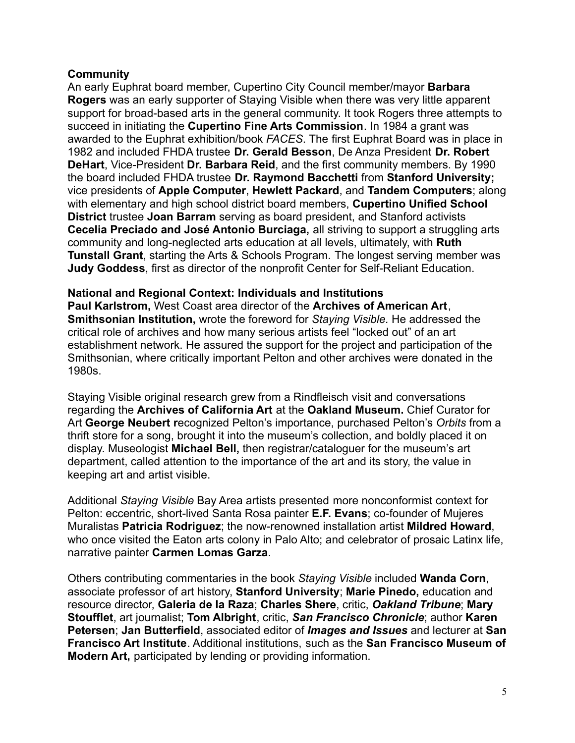#### **Community**

An early Euphrat board member, Cupertino City Council member/mayor **Barbara Rogers** was an early supporter of Staying Visible when there was very little apparent support for broad-based arts in the general community. It took Rogers three attempts to succeed in initiating the **Cupertino Fine Arts Commission**. In 1984 a grant was awarded to the Euphrat exhibition/book *FACES*. The first Euphrat Board was in place in 1982 and included FHDA trustee **Dr. Gerald Besson**, De Anza President **Dr. Robert DeHart**, Vice-President **Dr. Barbara Reid**, and the first community members. By 1990 the board included FHDA trustee **Dr. Raymond Bacchetti** from **Stanford University;** vice presidents of **Apple Computer**, **Hewlett Packard**, and **Tandem Computers**; along with elementary and high school district board members, **Cupertino Unified School District** trustee **Joan Barram** serving as board president, and Stanford activists **Cecelia Preciado and José Antonio Burciaga,** all striving to support a struggling arts community and long-neglected arts education at all levels, ultimately, with **Ruth Tunstall Grant**, starting the Arts & Schools Program. The longest serving member was **Judy Goddess**, first as director of the nonprofit Center for Self-Reliant Education.

#### **National and Regional Context: Individuals and Institutions**

**Paul Karlstrom,** West Coast area director of the **Archives of American Art**, **Smithsonian Institution,** wrote the foreword for *Staying Visible.* He addressed the critical role of archives and how many serious artists feel "locked out" of an art establishment network. He assured the support for the project and participation of the Smithsonian, where critically important Pelton and other archives were donated in the 1980s.

Staying Visible original research grew from a Rindfleisch visit and conversations regarding the **Archives of California Art** at the **Oakland Museum.** Chief Curator for Art **George Neubert r**ecognized Pelton's importance, purchased Pelton's *Orbits* from a thrift store for a song, brought it into the museum's collection, and boldly placed it on display. Museologist **Michael Bell,** then registrar/cataloguer for the museum's art department, called attention to the importance of the art and its story, the value in keeping art and artist visible.

Additional *Staying Visible* Bay Area artists presented more nonconformist context for Pelton: eccentric, short-lived Santa Rosa painter **E.F. Evans**; co-founder of Mujeres Muralistas **Patricia Rodriguez**; the now-renowned installation artist **Mildred Howard**, who once visited the Eaton arts colony in Palo Alto; and celebrator of prosaic Latinx life, narrative painter **Carmen Lomas Garza**.

Others contributing commentaries in the book *Staying Visible* included **Wanda Corn**, associate professor of art history, **Stanford University**; **Marie Pinedo,** education and resource director, **Galeria de la Raza**; **Charles Shere**, critic, *Oakland Tribune*; **Mary Stoufflet**, art journalist; **Tom Albright**, critic, *San Francisco Chronicle*; author **Karen Petersen**; **Jan Butterfield**, associated editor of *Images and Issues* and lecturer at **San Francisco Art Institute**. Additional institutions, such as the **San Francisco Museum of Modern Art,** participated by lending or providing information.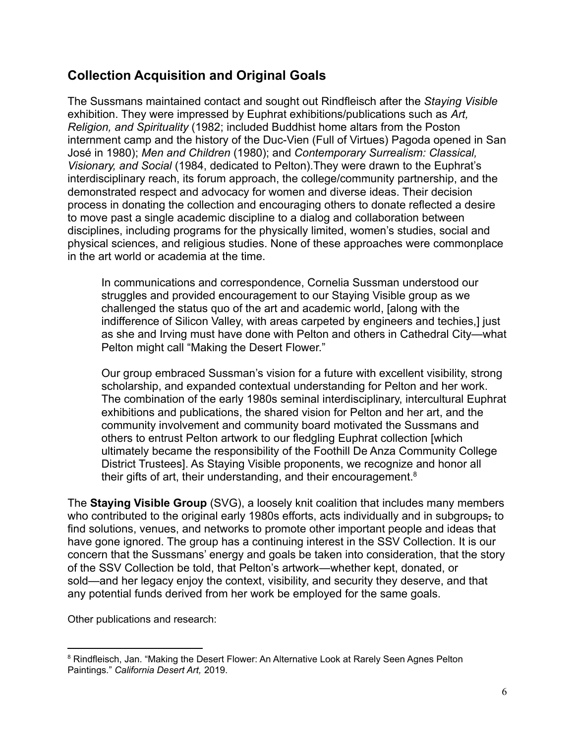## **Collection Acquisition and Original Goals**

The Sussmans maintained contact and sought out Rindfleisch after the *Staying Visible* exhibition. They were impressed by Euphrat exhibitions/publications such as *Art, Religion, and Spirituality* (1982; included Buddhist home altars from the Poston internment camp and the history of the Duc-Vien (Full of Virtues) Pagoda opened in San José in 1980); *Men and Children* (1980); and *Contemporary Surrealism: Classical, Visionary, and Social* (1984, dedicated to Pelton).They were drawn to the Euphrat's interdisciplinary reach, its forum approach, the college/community partnership, and the demonstrated respect and advocacy for women and diverse ideas. Their decision process in donating the collection and encouraging others to donate reflected a desire to move past a single academic discipline to a dialog and collaboration between disciplines, including programs for the physically limited, women's studies, social and physical sciences, and religious studies. None of these approaches were commonplace in the art world or academia at the time.

In communications and correspondence, Cornelia Sussman understood our struggles and provided encouragement to our Staying Visible group as we challenged the status quo of the art and academic world, [along with the indifference of Silicon Valley, with areas carpeted by engineers and techies,] just as she and Irving must have done with Pelton and others in Cathedral City—what Pelton might call "Making the Desert Flower."

Our group embraced Sussman's vision for a future with excellent visibility, strong scholarship, and expanded contextual understanding for Pelton and her work. The combination of the early 1980s seminal interdisciplinary, intercultural Euphrat exhibitions and publications, the shared vision for Pelton and her art, and the community involvement and community board motivated the Sussmans and others to entrust Pelton artwork to our fledgling Euphrat collection [which ultimately became the responsibility of the Foothill De Anza Community College District Trustees]. As Staying Visible proponents, we recognize and honor all their gifts of art, their understanding, and their encouragement.<sup>8</sup>

The **Staying Visible Group** (SVG), a loosely knit coalition that includes many members who contributed to the original early 1980s efforts, acts individually and in subgroups, to find solutions, venues, and networks to promote other important people and ideas that have gone ignored. The group has a continuing interest in the SSV Collection. It is our concern that the Sussmans' energy and goals be taken into consideration, that the story of the SSV Collection be told, that Pelton's artwork—whether kept, donated, or sold—and her legacy enjoy the context, visibility, and security they deserve, and that any potential funds derived from her work be employed for the same goals.

Other publications and research:

<sup>&</sup>lt;sup>8</sup> Rindfleisch, Jan. "Making the Desert Flower: An Alternative Look at Rarely Seen Agnes Pelton Paintings." *California Desert Art,* 2019.